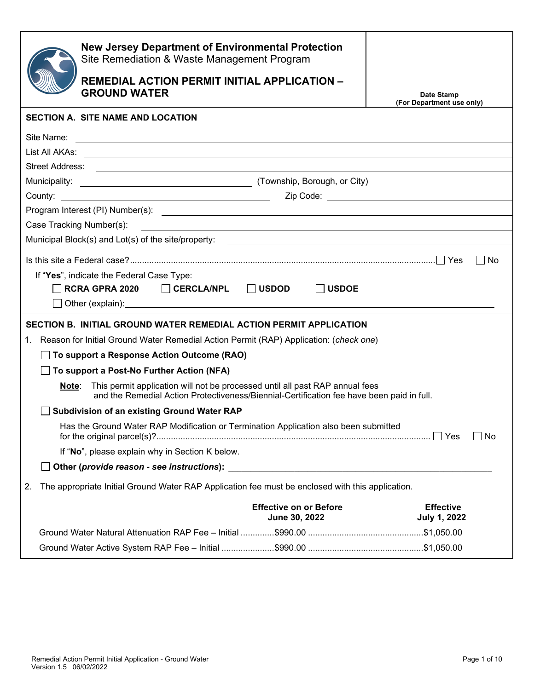| <b>New Jersey Department of Environmental Protection</b><br>Site Remediation & Waste Management Program<br><b>REMEDIAL ACTION PERMIT INITIAL APPLICATION -</b><br><b>GROUND WATER</b>                                                                                                                                                                                                                                     | Date Stamp                                          |
|---------------------------------------------------------------------------------------------------------------------------------------------------------------------------------------------------------------------------------------------------------------------------------------------------------------------------------------------------------------------------------------------------------------------------|-----------------------------------------------------|
| <b>SECTION A. SITE NAME AND LOCATION</b>                                                                                                                                                                                                                                                                                                                                                                                  | (For Department use only)                           |
| Site Name:                                                                                                                                                                                                                                                                                                                                                                                                                |                                                     |
| <u> Andreas Andreas Andreas Andreas Andreas Andreas Andreas Andreas Andreas Andreas Andreas Andreas Andreas Andr</u>                                                                                                                                                                                                                                                                                                      |                                                     |
| Street Address:                                                                                                                                                                                                                                                                                                                                                                                                           |                                                     |
| <u> 1980 - John Stone, amerikansk politiker (d. 1980)</u>                                                                                                                                                                                                                                                                                                                                                                 |                                                     |
|                                                                                                                                                                                                                                                                                                                                                                                                                           | Zip Code: <u>__________________________________</u> |
|                                                                                                                                                                                                                                                                                                                                                                                                                           |                                                     |
| Case Tracking Number(s):<br><u> 1989 - John Stein, Amerikaansk politiker (* 1918)</u>                                                                                                                                                                                                                                                                                                                                     |                                                     |
| Municipal Block(s) and Lot(s) of the site/property:<br><u> 1980 - Jan Samuel Barbara, martin da shekarar 1980 - An tsara tsara 1980 - An tsara 1980 - An tsara 1980 - An</u>                                                                                                                                                                                                                                              |                                                     |
|                                                                                                                                                                                                                                                                                                                                                                                                                           | – I No                                              |
| If "Yes", indicate the Federal Case Type:<br>$\begin{array}{ccc} \textsf{RCRA} \textsf{ GPRA} \textsf{ 2020} & \textsf{CERCLA/NPL} & \textsf{I} \textsf{USDOD} \end{array}$<br>l lusdoe<br>Other (explain): example and the state of the state of the state of the state of the state of the state of the state of the state of the state of the state of the state of the state of the state of the state of the state o |                                                     |
| SECTION B. INITIAL GROUND WATER REMEDIAL ACTION PERMIT APPLICATION                                                                                                                                                                                                                                                                                                                                                        |                                                     |
| Reason for Initial Ground Water Remedial Action Permit (RAP) Application: (check one)<br>1.                                                                                                                                                                                                                                                                                                                               |                                                     |
| $\Box$ To support a Response Action Outcome (RAO)                                                                                                                                                                                                                                                                                                                                                                         |                                                     |
| To support a Post-No Further Action (NFA)                                                                                                                                                                                                                                                                                                                                                                                 |                                                     |
| This permit application will not be processed until all past RAP annual fees<br>Note:<br>and the Remedial Action Protectiveness/Biennial-Certification fee have been paid in full.                                                                                                                                                                                                                                        |                                                     |
| <b>Subdivision of an existing Ground Water RAP</b>                                                                                                                                                                                                                                                                                                                                                                        |                                                     |
| Has the Ground Water RAP Modification or Termination Application also been submitted                                                                                                                                                                                                                                                                                                                                      | $\Box$ No                                           |
| If "No", please explain why in Section K below.                                                                                                                                                                                                                                                                                                                                                                           |                                                     |
| Other (provide reason - see instructions): Notified that the set of the set of the set of the set of the set of the set of the set of the set of the set of the set of the set of the set of the set of the set of the set of                                                                                                                                                                                             |                                                     |
| The appropriate Initial Ground Water RAP Application fee must be enclosed with this application.<br>2.                                                                                                                                                                                                                                                                                                                    |                                                     |
| <b>Effective on or Before</b><br>June 30, 2022                                                                                                                                                                                                                                                                                                                                                                            | <b>Effective</b><br><b>July 1, 2022</b>             |
|                                                                                                                                                                                                                                                                                                                                                                                                                           |                                                     |
|                                                                                                                                                                                                                                                                                                                                                                                                                           |                                                     |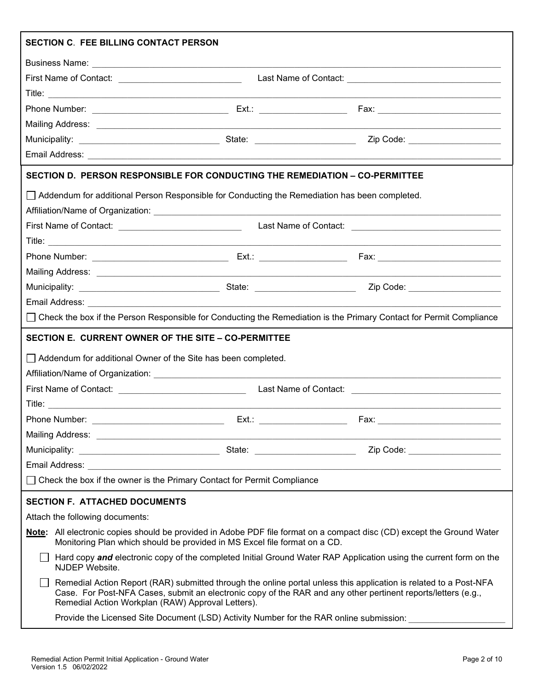| First Name of Contact: _______________________________<br>SECTION D.  PERSON RESPONSIBLE FOR CONDUCTING THE REMEDIATION – CO-PERMITTEE<br>□ Addendum for additional Person Responsible for Conducting the Remediation has been completed.<br>First Name of Contact: <u>______________________________</u><br>Mailing Address: National Address: National Address: National Address: National Address: National Address: National Address: National Address: National Address: National Address: National Address: National Address: Nationa<br>Email Address: North American State of the Contract of the Contract of the Contract of the Contract of the Contract of the Contract of the Contract of the Contract of the Contract of the Contract of the Contract of the Con<br>□ Check the box if the Person Responsible for Conducting the Remediation is the Primary Contact for Permit Compliance<br>SECTION E. CURRENT OWNER OF THE SITE - CO-PERMITTEE<br>Addendum for additional Owner of the Site has been completed.<br>First Name of Contact: ________________________________<br>Fax: ___________<br>□ Check the box if the owner is the Primary Contact for Permit Compliance<br><b>SECTION F. ATTACHED DOCUMENTS</b><br>Attach the following documents:<br>Note: All electronic copies should be provided in Adobe PDF file format on a compact disc (CD) except the Ground Water<br>Monitoring Plan which should be provided in MS Excel file format on a CD.<br>Hard copy and electronic copy of the completed Initial Ground Water RAP Application using the current form on the<br>NJDEP Website.<br>Remedial Action Report (RAR) submitted through the online portal unless this application is related to a Post-NFA<br>Case. For Post-NFA Cases, submit an electronic copy of the RAR and any other pertinent reports/letters (e.g.,<br>Remedial Action Workplan (RAW) Approval Letters).<br>Provide the Licensed Site Document (LSD) Activity Number for the RAR online submission: _____________________ | <b>SECTION C. FEE BILLING CONTACT PERSON</b> |  |  |  |  |
|---------------------------------------------------------------------------------------------------------------------------------------------------------------------------------------------------------------------------------------------------------------------------------------------------------------------------------------------------------------------------------------------------------------------------------------------------------------------------------------------------------------------------------------------------------------------------------------------------------------------------------------------------------------------------------------------------------------------------------------------------------------------------------------------------------------------------------------------------------------------------------------------------------------------------------------------------------------------------------------------------------------------------------------------------------------------------------------------------------------------------------------------------------------------------------------------------------------------------------------------------------------------------------------------------------------------------------------------------------------------------------------------------------------------------------------------------------------------------------------------------------------------------------------------------------------------------------------------------------------------------------------------------------------------------------------------------------------------------------------------------------------------------------------------------------------------------------------------------------------------------------------------------------------------------------------------------------------------------------------------------------------------------------|----------------------------------------------|--|--|--|--|
|                                                                                                                                                                                                                                                                                                                                                                                                                                                                                                                                                                                                                                                                                                                                                                                                                                                                                                                                                                                                                                                                                                                                                                                                                                                                                                                                                                                                                                                                                                                                                                                                                                                                                                                                                                                                                                                                                                                                                                                                                                 |                                              |  |  |  |  |
|                                                                                                                                                                                                                                                                                                                                                                                                                                                                                                                                                                                                                                                                                                                                                                                                                                                                                                                                                                                                                                                                                                                                                                                                                                                                                                                                                                                                                                                                                                                                                                                                                                                                                                                                                                                                                                                                                                                                                                                                                                 |                                              |  |  |  |  |
|                                                                                                                                                                                                                                                                                                                                                                                                                                                                                                                                                                                                                                                                                                                                                                                                                                                                                                                                                                                                                                                                                                                                                                                                                                                                                                                                                                                                                                                                                                                                                                                                                                                                                                                                                                                                                                                                                                                                                                                                                                 |                                              |  |  |  |  |
|                                                                                                                                                                                                                                                                                                                                                                                                                                                                                                                                                                                                                                                                                                                                                                                                                                                                                                                                                                                                                                                                                                                                                                                                                                                                                                                                                                                                                                                                                                                                                                                                                                                                                                                                                                                                                                                                                                                                                                                                                                 |                                              |  |  |  |  |
|                                                                                                                                                                                                                                                                                                                                                                                                                                                                                                                                                                                                                                                                                                                                                                                                                                                                                                                                                                                                                                                                                                                                                                                                                                                                                                                                                                                                                                                                                                                                                                                                                                                                                                                                                                                                                                                                                                                                                                                                                                 |                                              |  |  |  |  |
|                                                                                                                                                                                                                                                                                                                                                                                                                                                                                                                                                                                                                                                                                                                                                                                                                                                                                                                                                                                                                                                                                                                                                                                                                                                                                                                                                                                                                                                                                                                                                                                                                                                                                                                                                                                                                                                                                                                                                                                                                                 |                                              |  |  |  |  |
|                                                                                                                                                                                                                                                                                                                                                                                                                                                                                                                                                                                                                                                                                                                                                                                                                                                                                                                                                                                                                                                                                                                                                                                                                                                                                                                                                                                                                                                                                                                                                                                                                                                                                                                                                                                                                                                                                                                                                                                                                                 |                                              |  |  |  |  |
|                                                                                                                                                                                                                                                                                                                                                                                                                                                                                                                                                                                                                                                                                                                                                                                                                                                                                                                                                                                                                                                                                                                                                                                                                                                                                                                                                                                                                                                                                                                                                                                                                                                                                                                                                                                                                                                                                                                                                                                                                                 |                                              |  |  |  |  |
|                                                                                                                                                                                                                                                                                                                                                                                                                                                                                                                                                                                                                                                                                                                                                                                                                                                                                                                                                                                                                                                                                                                                                                                                                                                                                                                                                                                                                                                                                                                                                                                                                                                                                                                                                                                                                                                                                                                                                                                                                                 |                                              |  |  |  |  |
|                                                                                                                                                                                                                                                                                                                                                                                                                                                                                                                                                                                                                                                                                                                                                                                                                                                                                                                                                                                                                                                                                                                                                                                                                                                                                                                                                                                                                                                                                                                                                                                                                                                                                                                                                                                                                                                                                                                                                                                                                                 |                                              |  |  |  |  |
|                                                                                                                                                                                                                                                                                                                                                                                                                                                                                                                                                                                                                                                                                                                                                                                                                                                                                                                                                                                                                                                                                                                                                                                                                                                                                                                                                                                                                                                                                                                                                                                                                                                                                                                                                                                                                                                                                                                                                                                                                                 |                                              |  |  |  |  |
|                                                                                                                                                                                                                                                                                                                                                                                                                                                                                                                                                                                                                                                                                                                                                                                                                                                                                                                                                                                                                                                                                                                                                                                                                                                                                                                                                                                                                                                                                                                                                                                                                                                                                                                                                                                                                                                                                                                                                                                                                                 |                                              |  |  |  |  |
|                                                                                                                                                                                                                                                                                                                                                                                                                                                                                                                                                                                                                                                                                                                                                                                                                                                                                                                                                                                                                                                                                                                                                                                                                                                                                                                                                                                                                                                                                                                                                                                                                                                                                                                                                                                                                                                                                                                                                                                                                                 |                                              |  |  |  |  |
|                                                                                                                                                                                                                                                                                                                                                                                                                                                                                                                                                                                                                                                                                                                                                                                                                                                                                                                                                                                                                                                                                                                                                                                                                                                                                                                                                                                                                                                                                                                                                                                                                                                                                                                                                                                                                                                                                                                                                                                                                                 |                                              |  |  |  |  |
|                                                                                                                                                                                                                                                                                                                                                                                                                                                                                                                                                                                                                                                                                                                                                                                                                                                                                                                                                                                                                                                                                                                                                                                                                                                                                                                                                                                                                                                                                                                                                                                                                                                                                                                                                                                                                                                                                                                                                                                                                                 |                                              |  |  |  |  |
|                                                                                                                                                                                                                                                                                                                                                                                                                                                                                                                                                                                                                                                                                                                                                                                                                                                                                                                                                                                                                                                                                                                                                                                                                                                                                                                                                                                                                                                                                                                                                                                                                                                                                                                                                                                                                                                                                                                                                                                                                                 |                                              |  |  |  |  |
|                                                                                                                                                                                                                                                                                                                                                                                                                                                                                                                                                                                                                                                                                                                                                                                                                                                                                                                                                                                                                                                                                                                                                                                                                                                                                                                                                                                                                                                                                                                                                                                                                                                                                                                                                                                                                                                                                                                                                                                                                                 |                                              |  |  |  |  |
|                                                                                                                                                                                                                                                                                                                                                                                                                                                                                                                                                                                                                                                                                                                                                                                                                                                                                                                                                                                                                                                                                                                                                                                                                                                                                                                                                                                                                                                                                                                                                                                                                                                                                                                                                                                                                                                                                                                                                                                                                                 |                                              |  |  |  |  |
|                                                                                                                                                                                                                                                                                                                                                                                                                                                                                                                                                                                                                                                                                                                                                                                                                                                                                                                                                                                                                                                                                                                                                                                                                                                                                                                                                                                                                                                                                                                                                                                                                                                                                                                                                                                                                                                                                                                                                                                                                                 |                                              |  |  |  |  |
|                                                                                                                                                                                                                                                                                                                                                                                                                                                                                                                                                                                                                                                                                                                                                                                                                                                                                                                                                                                                                                                                                                                                                                                                                                                                                                                                                                                                                                                                                                                                                                                                                                                                                                                                                                                                                                                                                                                                                                                                                                 |                                              |  |  |  |  |
|                                                                                                                                                                                                                                                                                                                                                                                                                                                                                                                                                                                                                                                                                                                                                                                                                                                                                                                                                                                                                                                                                                                                                                                                                                                                                                                                                                                                                                                                                                                                                                                                                                                                                                                                                                                                                                                                                                                                                                                                                                 |                                              |  |  |  |  |
|                                                                                                                                                                                                                                                                                                                                                                                                                                                                                                                                                                                                                                                                                                                                                                                                                                                                                                                                                                                                                                                                                                                                                                                                                                                                                                                                                                                                                                                                                                                                                                                                                                                                                                                                                                                                                                                                                                                                                                                                                                 |                                              |  |  |  |  |
|                                                                                                                                                                                                                                                                                                                                                                                                                                                                                                                                                                                                                                                                                                                                                                                                                                                                                                                                                                                                                                                                                                                                                                                                                                                                                                                                                                                                                                                                                                                                                                                                                                                                                                                                                                                                                                                                                                                                                                                                                                 |                                              |  |  |  |  |
|                                                                                                                                                                                                                                                                                                                                                                                                                                                                                                                                                                                                                                                                                                                                                                                                                                                                                                                                                                                                                                                                                                                                                                                                                                                                                                                                                                                                                                                                                                                                                                                                                                                                                                                                                                                                                                                                                                                                                                                                                                 |                                              |  |  |  |  |
|                                                                                                                                                                                                                                                                                                                                                                                                                                                                                                                                                                                                                                                                                                                                                                                                                                                                                                                                                                                                                                                                                                                                                                                                                                                                                                                                                                                                                                                                                                                                                                                                                                                                                                                                                                                                                                                                                                                                                                                                                                 |                                              |  |  |  |  |
|                                                                                                                                                                                                                                                                                                                                                                                                                                                                                                                                                                                                                                                                                                                                                                                                                                                                                                                                                                                                                                                                                                                                                                                                                                                                                                                                                                                                                                                                                                                                                                                                                                                                                                                                                                                                                                                                                                                                                                                                                                 |                                              |  |  |  |  |
|                                                                                                                                                                                                                                                                                                                                                                                                                                                                                                                                                                                                                                                                                                                                                                                                                                                                                                                                                                                                                                                                                                                                                                                                                                                                                                                                                                                                                                                                                                                                                                                                                                                                                                                                                                                                                                                                                                                                                                                                                                 |                                              |  |  |  |  |
|                                                                                                                                                                                                                                                                                                                                                                                                                                                                                                                                                                                                                                                                                                                                                                                                                                                                                                                                                                                                                                                                                                                                                                                                                                                                                                                                                                                                                                                                                                                                                                                                                                                                                                                                                                                                                                                                                                                                                                                                                                 |                                              |  |  |  |  |
|                                                                                                                                                                                                                                                                                                                                                                                                                                                                                                                                                                                                                                                                                                                                                                                                                                                                                                                                                                                                                                                                                                                                                                                                                                                                                                                                                                                                                                                                                                                                                                                                                                                                                                                                                                                                                                                                                                                                                                                                                                 |                                              |  |  |  |  |
|                                                                                                                                                                                                                                                                                                                                                                                                                                                                                                                                                                                                                                                                                                                                                                                                                                                                                                                                                                                                                                                                                                                                                                                                                                                                                                                                                                                                                                                                                                                                                                                                                                                                                                                                                                                                                                                                                                                                                                                                                                 |                                              |  |  |  |  |
|                                                                                                                                                                                                                                                                                                                                                                                                                                                                                                                                                                                                                                                                                                                                                                                                                                                                                                                                                                                                                                                                                                                                                                                                                                                                                                                                                                                                                                                                                                                                                                                                                                                                                                                                                                                                                                                                                                                                                                                                                                 |                                              |  |  |  |  |
|                                                                                                                                                                                                                                                                                                                                                                                                                                                                                                                                                                                                                                                                                                                                                                                                                                                                                                                                                                                                                                                                                                                                                                                                                                                                                                                                                                                                                                                                                                                                                                                                                                                                                                                                                                                                                                                                                                                                                                                                                                 |                                              |  |  |  |  |
|                                                                                                                                                                                                                                                                                                                                                                                                                                                                                                                                                                                                                                                                                                                                                                                                                                                                                                                                                                                                                                                                                                                                                                                                                                                                                                                                                                                                                                                                                                                                                                                                                                                                                                                                                                                                                                                                                                                                                                                                                                 |                                              |  |  |  |  |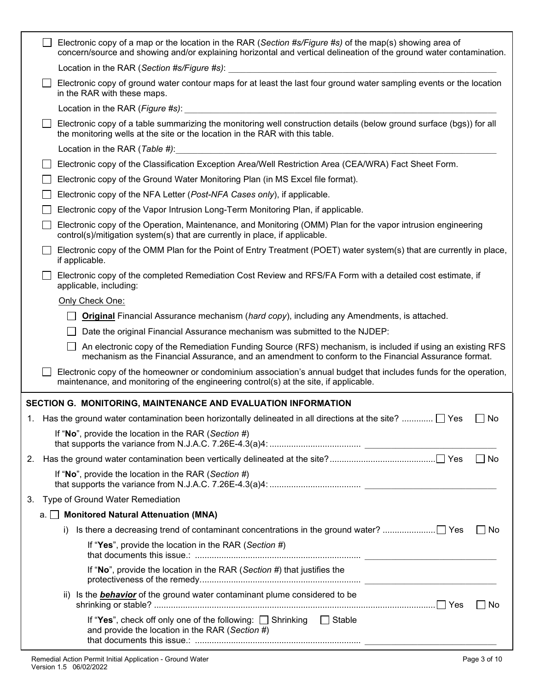|    | Electronic copy of a map or the location in the RAR (Section #s/Figure #s) of the map(s) showing area of<br>concern/source and showing and/or explaining horizontal and vertical delineation of the ground water contamination. |                      |
|----|---------------------------------------------------------------------------------------------------------------------------------------------------------------------------------------------------------------------------------|----------------------|
|    | Location in the RAR (Section #s/Figure #s): Location and the RAR (Section 4s/Figure #s):                                                                                                                                        |                      |
|    | Electronic copy of ground water contour maps for at least the last four ground water sampling events or the location<br>in the RAR with these maps.                                                                             |                      |
|    | Location in the RAR (Figure #s): Note that the set of the set of the set of the set of the set of the set of the set of the set of the set of the set of the set of the set of the set of the set of the set of the set of the  |                      |
|    | Electronic copy of a table summarizing the monitoring well construction details (below ground surface (bgs)) for all<br>the monitoring wells at the site or the location in the RAR with this table.                            |                      |
|    | Location in the RAR (Table #):                                                                                                                                                                                                  |                      |
|    | Electronic copy of the Classification Exception Area/Well Restriction Area (CEA/WRA) Fact Sheet Form.                                                                                                                           |                      |
|    | Electronic copy of the Ground Water Monitoring Plan (in MS Excel file format).                                                                                                                                                  |                      |
|    | Electronic copy of the NFA Letter (Post-NFA Cases only), if applicable.                                                                                                                                                         |                      |
|    | Electronic copy of the Vapor Intrusion Long-Term Monitoring Plan, if applicable.                                                                                                                                                |                      |
|    | Electronic copy of the Operation, Maintenance, and Monitoring (OMM) Plan for the vapor intrusion engineering<br>control(s)/mitigation system(s) that are currently in place, if applicable.                                     |                      |
|    | Electronic copy of the OMM Plan for the Point of Entry Treatment (POET) water system(s) that are currently in place,<br>if applicable.                                                                                          |                      |
|    | Electronic copy of the completed Remediation Cost Review and RFS/FA Form with a detailed cost estimate, if<br>applicable, including:                                                                                            |                      |
|    | Only Check One:                                                                                                                                                                                                                 |                      |
|    | <b>Original</b> Financial Assurance mechanism (hard copy), including any Amendments, is attached.                                                                                                                               |                      |
|    | Date the original Financial Assurance mechanism was submitted to the NJDEP:                                                                                                                                                     |                      |
|    | An electronic copy of the Remediation Funding Source (RFS) mechanism, is included if using an existing RFS<br>mechanism as the Financial Assurance, and an amendment to conform to the Financial Assurance format.              |                      |
|    | Electronic copy of the homeowner or condominium association's annual budget that includes funds for the operation,<br>maintenance, and monitoring of the engineering control(s) at the site, if applicable.                     |                      |
|    | SECTION G. MONITORING, MAINTENANCE AND EVALUATION INFORMATION                                                                                                                                                                   |                      |
|    | 1. Has the ground water contamination been horizontally delineated in all directions at the site?  I Yes                                                                                                                        | $\Box$ No            |
|    | If "No", provide the location in the RAR (Section #)                                                                                                                                                                            |                      |
| 2. |                                                                                                                                                                                                                                 | No<br>$\blacksquare$ |
|    | If "No", provide the location in the RAR (Section #)                                                                                                                                                                            |                      |
| 3. | Type of Ground Water Remediation                                                                                                                                                                                                |                      |
|    | a. Monitored Natural Attenuation (MNA)                                                                                                                                                                                          |                      |
|    | I)                                                                                                                                                                                                                              | $\Box$ No            |
|    | If "Yes", provide the location in the RAR (Section #)                                                                                                                                                                           |                      |
|    | If "No", provide the location in the RAR (Section #) that justifies the                                                                                                                                                         |                      |
|    | Is the <b>behavior</b> of the ground water contaminant plume considered to be<br>ii)                                                                                                                                            | $\Box$ No            |
|    | If "Yes", check off only one of the following: □ Shrinking<br>$\Box$ Stable<br>and provide the location in the RAR (Section #)                                                                                                  |                      |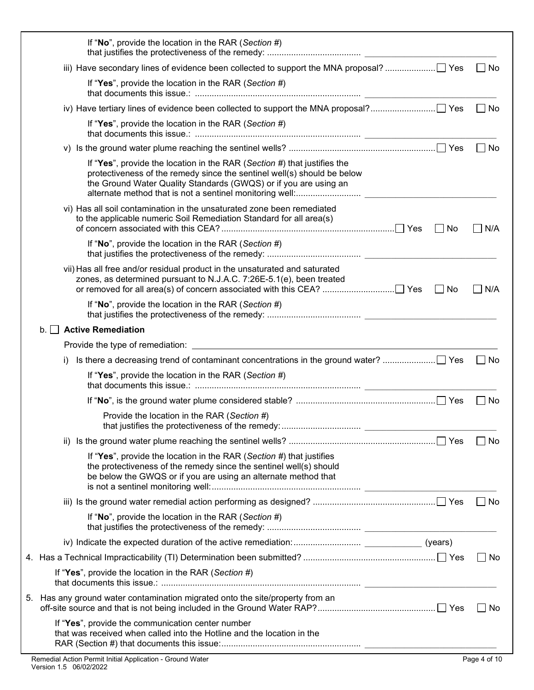| If "No", provide the location in the RAR (Section #)                                                                                                                                                                    |                   |
|-------------------------------------------------------------------------------------------------------------------------------------------------------------------------------------------------------------------------|-------------------|
|                                                                                                                                                                                                                         | No                |
| If "Yes", provide the location in the RAR (Section #)                                                                                                                                                                   |                   |
|                                                                                                                                                                                                                         | No                |
| If "Yes", provide the location in the RAR (Section #)                                                                                                                                                                   |                   |
|                                                                                                                                                                                                                         | No                |
| If "Yes", provide the location in the RAR (Section #) that justifies the<br>protectiveness of the remedy since the sentinel well(s) should be below<br>the Ground Water Quality Standards (GWQS) or if you are using an |                   |
| vi) Has all soil contamination in the unsaturated zone been remediated<br>to the applicable numeric Soil Remediation Standard for all area(s)<br>$\Box$ No                                                              | _  N/A            |
| If "No", provide the location in the RAR (Section #)                                                                                                                                                                    |                   |
| vii) Has all free and/or residual product in the unsaturated and saturated<br>zones, as determined pursuant to N.J.A.C. 7:26E-5.1(e), been treated<br>$\Box$ No                                                         | N/A               |
| If "No", provide the location in the RAR (Section #)                                                                                                                                                                    |                   |
| <b>Active Remediation</b><br>b.                                                                                                                                                                                         |                   |
| Provide the type of remediation: _<br><u> 1980 - Jan Stein Stein Stein Stein Stein Stein Stein Stein Stein Stein Stein Stein Stein Stein Stein Stein S</u>                                                              |                   |
| i)                                                                                                                                                                                                                      | No                |
| If "Yes", provide the location in the RAR (Section #)                                                                                                                                                                   |                   |
|                                                                                                                                                                                                                         | No                |
| Provide the location in the RAR (Section #)                                                                                                                                                                             |                   |
| ii)                                                                                                                                                                                                                     | No                |
| If "Yes", provide the location in the RAR (Section #) that justifies<br>the protectiveness of the remedy since the sentinel well(s) should<br>be below the GWQS or if you are using an alternate method that            |                   |
|                                                                                                                                                                                                                         | No                |
| If "No", provide the location in the RAR (Section #)                                                                                                                                                                    |                   |
| (years)                                                                                                                                                                                                                 |                   |
|                                                                                                                                                                                                                         | $\Box$ No         |
| If "Yes", provide the location in the RAR (Section #)                                                                                                                                                                   |                   |
| 5. Has any ground water contamination migrated onto the site/property from an                                                                                                                                           | $\blacksquare$ No |
| If "Yes", provide the communication center number<br>that was received when called into the Hotline and the location in the                                                                                             |                   |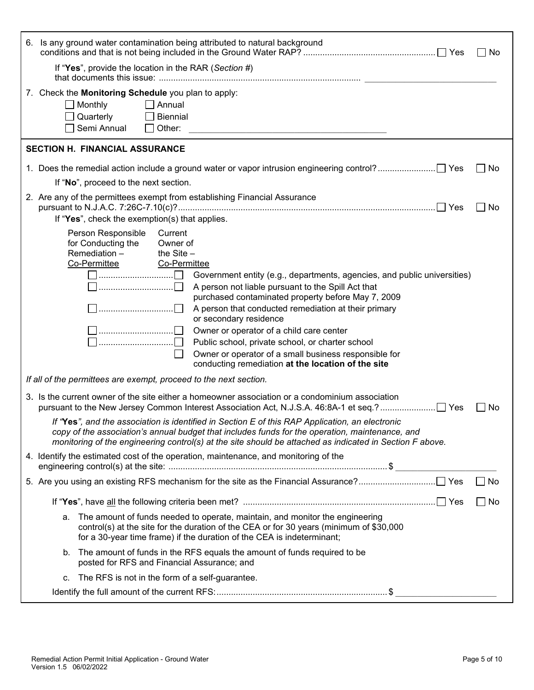| 6. Is any ground water contamination being attributed to natural background                                                                                                                                                                                                                                                                                                                                                                                                                                                                                                                                                                                                                                                                                                                                                                                                                                                                                                                                                                                                                                                                                                                               | __  No    |
|-----------------------------------------------------------------------------------------------------------------------------------------------------------------------------------------------------------------------------------------------------------------------------------------------------------------------------------------------------------------------------------------------------------------------------------------------------------------------------------------------------------------------------------------------------------------------------------------------------------------------------------------------------------------------------------------------------------------------------------------------------------------------------------------------------------------------------------------------------------------------------------------------------------------------------------------------------------------------------------------------------------------------------------------------------------------------------------------------------------------------------------------------------------------------------------------------------------|-----------|
| If "Yes", provide the location in the RAR (Section #)                                                                                                                                                                                                                                                                                                                                                                                                                                                                                                                                                                                                                                                                                                                                                                                                                                                                                                                                                                                                                                                                                                                                                     |           |
| 7. Check the Monitoring Schedule you plan to apply:<br>$\Box$ Monthly<br>Annual<br>Quarterly<br><b>Biennial</b><br>Semi Annual<br>Other:                                                                                                                                                                                                                                                                                                                                                                                                                                                                                                                                                                                                                                                                                                                                                                                                                                                                                                                                                                                                                                                                  |           |
| <b>SECTION H. FINANCIAL ASSURANCE</b>                                                                                                                                                                                                                                                                                                                                                                                                                                                                                                                                                                                                                                                                                                                                                                                                                                                                                                                                                                                                                                                                                                                                                                     |           |
|                                                                                                                                                                                                                                                                                                                                                                                                                                                                                                                                                                                                                                                                                                                                                                                                                                                                                                                                                                                                                                                                                                                                                                                                           | _l No     |
| If "No", proceed to the next section.                                                                                                                                                                                                                                                                                                                                                                                                                                                                                                                                                                                                                                                                                                                                                                                                                                                                                                                                                                                                                                                                                                                                                                     |           |
| 2. Are any of the permittees exempt from establishing Financial Assurance<br>If "Yes", check the exemption(s) that applies.                                                                                                                                                                                                                                                                                                                                                                                                                                                                                                                                                                                                                                                                                                                                                                                                                                                                                                                                                                                                                                                                               | No        |
| Person Responsible<br>Current<br>for Conducting the<br>Owner of<br>Remediation-<br>the $Site -$<br>Co-Permittee<br>Co-Permittee<br>Government entity (e.g., departments, agencies, and public universities)<br>A person not liable pursuant to the Spill Act that<br>purchased contaminated property before May 7, 2009<br>A person that conducted remediation at their primary<br>or secondary residence<br>Owner or operator of a child care center<br>Public school, private school, or charter school<br>Owner or operator of a small business responsible for<br>conducting remediation at the location of the site<br>If all of the permittees are exempt, proceed to the next section.<br>3. Is the current owner of the site either a homeowner association or a condominium association<br>If "Yes", and the association is identified in Section E of this RAP Application, an electronic<br>copy of the association's annual budget that includes funds for the operation, maintenance, and<br>monitoring of the engineering control(s) at the site should be attached as indicated in Section F above.<br>4. Identify the estimated cost of the operation, maintenance, and monitoring of the | No        |
|                                                                                                                                                                                                                                                                                                                                                                                                                                                                                                                                                                                                                                                                                                                                                                                                                                                                                                                                                                                                                                                                                                                                                                                                           | $\Box$ No |
|                                                                                                                                                                                                                                                                                                                                                                                                                                                                                                                                                                                                                                                                                                                                                                                                                                                                                                                                                                                                                                                                                                                                                                                                           | No        |
| The amount of funds needed to operate, maintain, and monitor the engineering<br>а.<br>control(s) at the site for the duration of the CEA or for 30 years (minimum of \$30,000<br>for a 30-year time frame) if the duration of the CEA is indeterminant;                                                                                                                                                                                                                                                                                                                                                                                                                                                                                                                                                                                                                                                                                                                                                                                                                                                                                                                                                   |           |
| b. The amount of funds in the RFS equals the amount of funds required to be<br>posted for RFS and Financial Assurance; and                                                                                                                                                                                                                                                                                                                                                                                                                                                                                                                                                                                                                                                                                                                                                                                                                                                                                                                                                                                                                                                                                |           |
| The RFS is not in the form of a self-guarantee.<br>C.                                                                                                                                                                                                                                                                                                                                                                                                                                                                                                                                                                                                                                                                                                                                                                                                                                                                                                                                                                                                                                                                                                                                                     |           |
|                                                                                                                                                                                                                                                                                                                                                                                                                                                                                                                                                                                                                                                                                                                                                                                                                                                                                                                                                                                                                                                                                                                                                                                                           |           |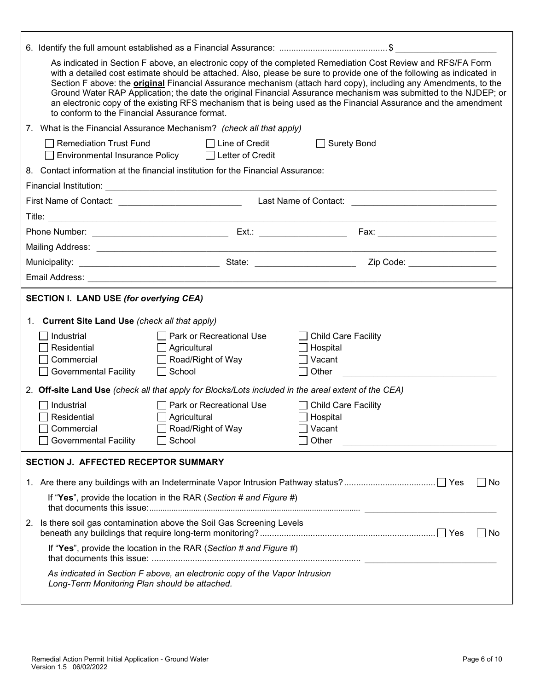| As indicated in Section F above, an electronic copy of the completed Remediation Cost Review and RFS/FA Form<br>with a detailed cost estimate should be attached. Also, please be sure to provide one of the following as indicated in<br>Section F above: the <b>original</b> Financial Assurance mechanism (attach hard copy), including any Amendments, to the<br>Ground Water RAP Application; the date the original Financial Assurance mechanism was submitted to the NJDEP; or<br>an electronic copy of the existing RFS mechanism that is being used as the Financial Assurance and the amendment<br>to conform to the Financial Assurance format. |                                                                                                     |                            |  |  |
|------------------------------------------------------------------------------------------------------------------------------------------------------------------------------------------------------------------------------------------------------------------------------------------------------------------------------------------------------------------------------------------------------------------------------------------------------------------------------------------------------------------------------------------------------------------------------------------------------------------------------------------------------------|-----------------------------------------------------------------------------------------------------|----------------------------|--|--|
|                                                                                                                                                                                                                                                                                                                                                                                                                                                                                                                                                                                                                                                            | 7. What is the Financial Assurance Mechanism? (check all that apply)                                |                            |  |  |
| $\Box$ Remediation Trust Fund                                                                                                                                                                                                                                                                                                                                                                                                                                                                                                                                                                                                                              | □ Line of Credit<br>□ Environmental Insurance Policy □ Letter of Credit                             | □ Surety Bond              |  |  |
|                                                                                                                                                                                                                                                                                                                                                                                                                                                                                                                                                                                                                                                            | 8. Contact information at the financial institution for the Financial Assurance:                    |                            |  |  |
|                                                                                                                                                                                                                                                                                                                                                                                                                                                                                                                                                                                                                                                            |                                                                                                     |                            |  |  |
|                                                                                                                                                                                                                                                                                                                                                                                                                                                                                                                                                                                                                                                            |                                                                                                     |                            |  |  |
|                                                                                                                                                                                                                                                                                                                                                                                                                                                                                                                                                                                                                                                            |                                                                                                     |                            |  |  |
|                                                                                                                                                                                                                                                                                                                                                                                                                                                                                                                                                                                                                                                            |                                                                                                     |                            |  |  |
|                                                                                                                                                                                                                                                                                                                                                                                                                                                                                                                                                                                                                                                            |                                                                                                     |                            |  |  |
|                                                                                                                                                                                                                                                                                                                                                                                                                                                                                                                                                                                                                                                            |                                                                                                     |                            |  |  |
|                                                                                                                                                                                                                                                                                                                                                                                                                                                                                                                                                                                                                                                            |                                                                                                     |                            |  |  |
|                                                                                                                                                                                                                                                                                                                                                                                                                                                                                                                                                                                                                                                            |                                                                                                     |                            |  |  |
| <b>SECTION I. LAND USE (for overlying CEA)</b>                                                                                                                                                                                                                                                                                                                                                                                                                                                                                                                                                                                                             |                                                                                                     |                            |  |  |
| 1. Current Site Land Use (check all that apply)                                                                                                                                                                                                                                                                                                                                                                                                                                                                                                                                                                                                            |                                                                                                     |                            |  |  |
| Industrial                                                                                                                                                                                                                                                                                                                                                                                                                                                                                                                                                                                                                                                 | Park or Recreational Use                                                                            | $\Box$ Child Care Facility |  |  |
| Residential                                                                                                                                                                                                                                                                                                                                                                                                                                                                                                                                                                                                                                                | $\Box$ Agricultural                                                                                 | $\Box$ Hospital            |  |  |
| Commercial                                                                                                                                                                                                                                                                                                                                                                                                                                                                                                                                                                                                                                                 | $\Box$ Road/Right of Way<br>School<br>$\mathbb{R}^n$                                                | Vacant<br>Other            |  |  |
| <b>Governmental Facility</b>                                                                                                                                                                                                                                                                                                                                                                                                                                                                                                                                                                                                                               |                                                                                                     |                            |  |  |
|                                                                                                                                                                                                                                                                                                                                                                                                                                                                                                                                                                                                                                                            | 2. Off-site Land Use (check all that apply for Blocks/Lots included in the areal extent of the CEA) |                            |  |  |
| Industrial                                                                                                                                                                                                                                                                                                                                                                                                                                                                                                                                                                                                                                                 | □ Park or Recreational Use                                                                          | □ Child Care Facility      |  |  |
| Residential                                                                                                                                                                                                                                                                                                                                                                                                                                                                                                                                                                                                                                                | $\Box$ Agricultural                                                                                 | $\Box$ Hospital            |  |  |
| $\Box$ Commercial                                                                                                                                                                                                                                                                                                                                                                                                                                                                                                                                                                                                                                          | □ Road/Right of Way<br>School                                                                       | $\Box$ Vacant<br>Other     |  |  |
| <b>Governmental Facility</b>                                                                                                                                                                                                                                                                                                                                                                                                                                                                                                                                                                                                                               |                                                                                                     |                            |  |  |
| SECTION J. AFFECTED RECEPTOR SUMMARY                                                                                                                                                                                                                                                                                                                                                                                                                                                                                                                                                                                                                       |                                                                                                     |                            |  |  |
|                                                                                                                                                                                                                                                                                                                                                                                                                                                                                                                                                                                                                                                            |                                                                                                     | No<br>$\blacksquare$       |  |  |
| If "Yes", provide the location in the RAR (Section # and Figure #)                                                                                                                                                                                                                                                                                                                                                                                                                                                                                                                                                                                         |                                                                                                     |                            |  |  |
|                                                                                                                                                                                                                                                                                                                                                                                                                                                                                                                                                                                                                                                            | 2. Is there soil gas contamination above the Soil Gas Screening Levels                              | No                         |  |  |
| If "Yes", provide the location in the RAR (Section # and Figure #)                                                                                                                                                                                                                                                                                                                                                                                                                                                                                                                                                                                         |                                                                                                     |                            |  |  |
| Long-Term Monitoring Plan should be attached.                                                                                                                                                                                                                                                                                                                                                                                                                                                                                                                                                                                                              | As indicated in Section F above, an electronic copy of the Vapor Intrusion                          |                            |  |  |
|                                                                                                                                                                                                                                                                                                                                                                                                                                                                                                                                                                                                                                                            |                                                                                                     |                            |  |  |
|                                                                                                                                                                                                                                                                                                                                                                                                                                                                                                                                                                                                                                                            |                                                                                                     |                            |  |  |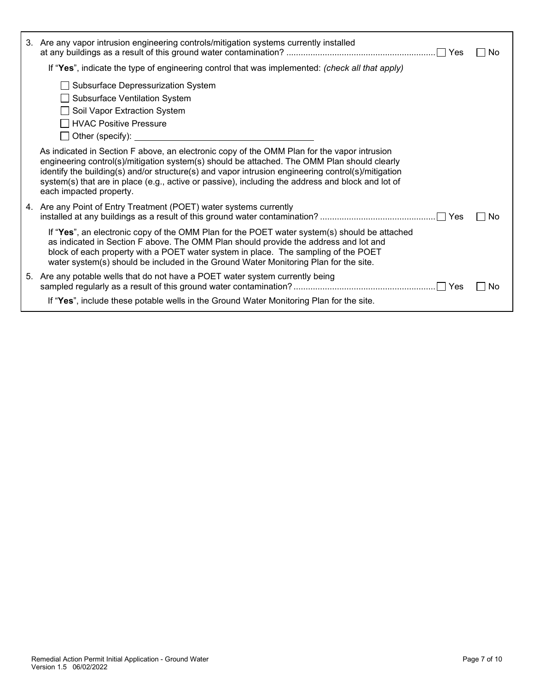| 3. Are any vapor intrusion engineering controls/mitigation systems currently installed                                                                                                                                                                                                                                                                                                                                           | l INo     |
|----------------------------------------------------------------------------------------------------------------------------------------------------------------------------------------------------------------------------------------------------------------------------------------------------------------------------------------------------------------------------------------------------------------------------------|-----------|
| If "Yes", indicate the type of engineering control that was implemented: (check all that apply)                                                                                                                                                                                                                                                                                                                                  |           |
| Subsurface Depressurization System                                                                                                                                                                                                                                                                                                                                                                                               |           |
| Subsurface Ventilation System                                                                                                                                                                                                                                                                                                                                                                                                    |           |
| Soil Vapor Extraction System                                                                                                                                                                                                                                                                                                                                                                                                     |           |
| HVAC Positive Pressure                                                                                                                                                                                                                                                                                                                                                                                                           |           |
|                                                                                                                                                                                                                                                                                                                                                                                                                                  |           |
| As indicated in Section F above, an electronic copy of the OMM Plan for the vapor intrusion<br>engineering control(s)/mitigation system(s) should be attached. The OMM Plan should clearly<br>identify the building(s) and/or structure(s) and vapor intrusion engineering control(s)/mitigation<br>system(s) that are in place (e.g., active or passive), including the address and block and lot of<br>each impacted property. |           |
| 4. Are any Point of Entry Treatment (POET) water systems currently                                                                                                                                                                                                                                                                                                                                                               | $\Box$ No |
| If "Yes", an electronic copy of the OMM Plan for the POET water system(s) should be attached<br>as indicated in Section F above. The OMM Plan should provide the address and lot and<br>block of each property with a POET water system in place. The sampling of the POET<br>water system(s) should be included in the Ground Water Monitoring Plan for the site.                                                               |           |
| 5. Are any potable wells that do not have a POET water system currently being                                                                                                                                                                                                                                                                                                                                                    | l INo     |
| If "Yes", include these potable wells in the Ground Water Monitoring Plan for the site.                                                                                                                                                                                                                                                                                                                                          |           |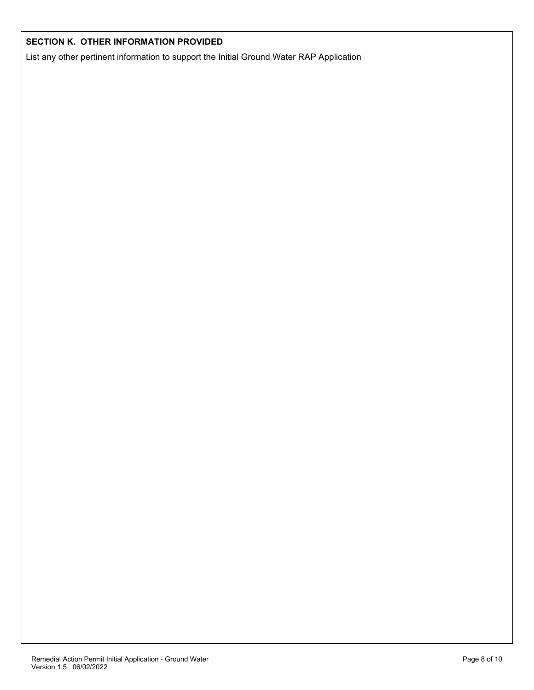#### **SECTION K. OTHER INFORMATION PROVIDED**

List any other pertinent information to support the Initial Ground Water RAP Application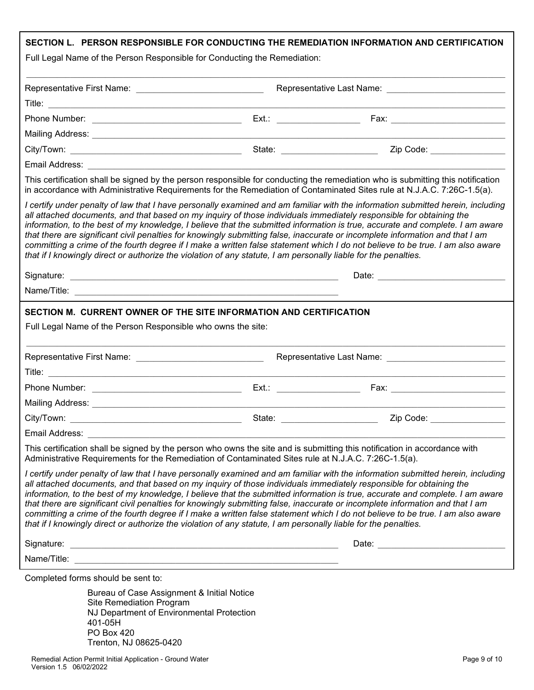|                                                                                                                                                                                                                                                                                                                                                                         |                                                        | SECTION L. PERSON RESPONSIBLE FOR CONDUCTING THE REMEDIATION INFORMATION AND CERTIFICATION                                                                                                                                                                                                                                                                                                         |
|-------------------------------------------------------------------------------------------------------------------------------------------------------------------------------------------------------------------------------------------------------------------------------------------------------------------------------------------------------------------------|--------------------------------------------------------|----------------------------------------------------------------------------------------------------------------------------------------------------------------------------------------------------------------------------------------------------------------------------------------------------------------------------------------------------------------------------------------------------|
| Full Legal Name of the Person Responsible for Conducting the Remediation:                                                                                                                                                                                                                                                                                               |                                                        |                                                                                                                                                                                                                                                                                                                                                                                                    |
|                                                                                                                                                                                                                                                                                                                                                                         |                                                        |                                                                                                                                                                                                                                                                                                                                                                                                    |
|                                                                                                                                                                                                                                                                                                                                                                         |                                                        |                                                                                                                                                                                                                                                                                                                                                                                                    |
|                                                                                                                                                                                                                                                                                                                                                                         |                                                        |                                                                                                                                                                                                                                                                                                                                                                                                    |
|                                                                                                                                                                                                                                                                                                                                                                         |                                                        |                                                                                                                                                                                                                                                                                                                                                                                                    |
|                                                                                                                                                                                                                                                                                                                                                                         |                                                        |                                                                                                                                                                                                                                                                                                                                                                                                    |
|                                                                                                                                                                                                                                                                                                                                                                         |                                                        | Zip Code: 2000                                                                                                                                                                                                                                                                                                                                                                                     |
| Email Address: William Communication Communication Communication Communication Communication Communication Com                                                                                                                                                                                                                                                          |                                                        |                                                                                                                                                                                                                                                                                                                                                                                                    |
|                                                                                                                                                                                                                                                                                                                                                                         |                                                        | This certification shall be signed by the person responsible for conducting the remediation who is submitting this notification<br>in accordance with Administrative Requirements for the Remediation of Contaminated Sites rule at N.J.A.C. 7:26C-1.5(a).                                                                                                                                         |
| all attached documents, and that based on my inquiry of those individuals immediately responsible for obtaining the<br>that there are significant civil penalties for knowingly submitting false, inaccurate or incomplete information and that I am<br>that if I knowingly direct or authorize the violation of any statute, I am personally liable for the penalties. |                                                        | I certify under penalty of law that I have personally examined and am familiar with the information submitted herein, including<br>information, to the best of my knowledge, I believe that the submitted information is true, accurate and complete. I am aware<br>committing a crime of the fourth degree if I make a written false statement which I do not believe to be true. I am also aware |
|                                                                                                                                                                                                                                                                                                                                                                         |                                                        |                                                                                                                                                                                                                                                                                                                                                                                                    |
|                                                                                                                                                                                                                                                                                                                                                                         |                                                        |                                                                                                                                                                                                                                                                                                                                                                                                    |
| SECTION M. CURRENT OWNER OF THE SITE INFORMATION AND CERTIFICATION                                                                                                                                                                                                                                                                                                      |                                                        |                                                                                                                                                                                                                                                                                                                                                                                                    |
| Full Legal Name of the Person Responsible who owns the site:                                                                                                                                                                                                                                                                                                            |                                                        |                                                                                                                                                                                                                                                                                                                                                                                                    |
|                                                                                                                                                                                                                                                                                                                                                                         |                                                        |                                                                                                                                                                                                                                                                                                                                                                                                    |
|                                                                                                                                                                                                                                                                                                                                                                         |                                                        |                                                                                                                                                                                                                                                                                                                                                                                                    |
|                                                                                                                                                                                                                                                                                                                                                                         |                                                        |                                                                                                                                                                                                                                                                                                                                                                                                    |
|                                                                                                                                                                                                                                                                                                                                                                         | $Ext.$ :                                               |                                                                                                                                                                                                                                                                                                                                                                                                    |
|                                                                                                                                                                                                                                                                                                                                                                         |                                                        |                                                                                                                                                                                                                                                                                                                                                                                                    |
|                                                                                                                                                                                                                                                                                                                                                                         |                                                        |                                                                                                                                                                                                                                                                                                                                                                                                    |
| Email Address:                                                                                                                                                                                                                                                                                                                                                          |                                                        |                                                                                                                                                                                                                                                                                                                                                                                                    |
| This certification shall be signed by the person who owns the site and is submitting this notification in accordance with<br>Administrative Requirements for the Remediation of Contaminated Sites rule at N.J.A.C. 7:26C-1.5(a).                                                                                                                                       |                                                        |                                                                                                                                                                                                                                                                                                                                                                                                    |
| all attached documents, and that based on my inquiry of those individuals immediately responsible for obtaining the<br>that there are significant civil penalties for knowingly submitting false, inaccurate or incomplete information and that I am<br>that if I knowingly direct or authorize the violation of any statute, I am personally liable for the penalties. |                                                        | I certify under penalty of law that I have personally examined and am familiar with the information submitted herein, including<br>information, to the best of my knowledge, I believe that the submitted information is true, accurate and complete. I am aware<br>committing a crime of the fourth degree if I make a written false statement which I do not believe to be true. I am also aware |
| Signature:                                                                                                                                                                                                                                                                                                                                                              | <u> 1989 - Jan Barnett, fransk politiker (d. 1989)</u> |                                                                                                                                                                                                                                                                                                                                                                                                    |
|                                                                                                                                                                                                                                                                                                                                                                         |                                                        |                                                                                                                                                                                                                                                                                                                                                                                                    |
| Completed forms should be sent to:                                                                                                                                                                                                                                                                                                                                      |                                                        |                                                                                                                                                                                                                                                                                                                                                                                                    |
| Bureau of Case Assignment & Initial Notice<br>Site Remediation Program<br>NJ Department of Environmental Protection<br>401-05H<br><b>PO Box 420</b><br>Trenton, NJ 08625-0420                                                                                                                                                                                           |                                                        |                                                                                                                                                                                                                                                                                                                                                                                                    |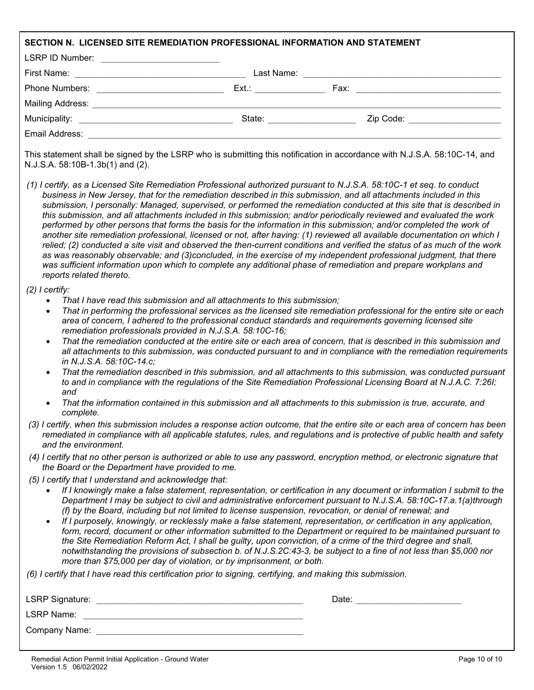| SECTION N. LICENSED SITE REMEDIATION PROFESSIONAL INFORMATION AND STATEMENT                                          |                                                                                                                                       |                                                                                                                                                                                                                                                                                                                                                                                                                                                                                                                                                                                                                                                                                                                                                                                                                                                                                                                                                                                                                                                                                                                                |
|----------------------------------------------------------------------------------------------------------------------|---------------------------------------------------------------------------------------------------------------------------------------|--------------------------------------------------------------------------------------------------------------------------------------------------------------------------------------------------------------------------------------------------------------------------------------------------------------------------------------------------------------------------------------------------------------------------------------------------------------------------------------------------------------------------------------------------------------------------------------------------------------------------------------------------------------------------------------------------------------------------------------------------------------------------------------------------------------------------------------------------------------------------------------------------------------------------------------------------------------------------------------------------------------------------------------------------------------------------------------------------------------------------------|
| LSRP ID Number: ____________________________                                                                         |                                                                                                                                       |                                                                                                                                                                                                                                                                                                                                                                                                                                                                                                                                                                                                                                                                                                                                                                                                                                                                                                                                                                                                                                                                                                                                |
|                                                                                                                      |                                                                                                                                       |                                                                                                                                                                                                                                                                                                                                                                                                                                                                                                                                                                                                                                                                                                                                                                                                                                                                                                                                                                                                                                                                                                                                |
|                                                                                                                      |                                                                                                                                       |                                                                                                                                                                                                                                                                                                                                                                                                                                                                                                                                                                                                                                                                                                                                                                                                                                                                                                                                                                                                                                                                                                                                |
|                                                                                                                      |                                                                                                                                       |                                                                                                                                                                                                                                                                                                                                                                                                                                                                                                                                                                                                                                                                                                                                                                                                                                                                                                                                                                                                                                                                                                                                |
|                                                                                                                      |                                                                                                                                       |                                                                                                                                                                                                                                                                                                                                                                                                                                                                                                                                                                                                                                                                                                                                                                                                                                                                                                                                                                                                                                                                                                                                |
|                                                                                                                      |                                                                                                                                       |                                                                                                                                                                                                                                                                                                                                                                                                                                                                                                                                                                                                                                                                                                                                                                                                                                                                                                                                                                                                                                                                                                                                |
| N.J.S.A. 58:10B-1.3b(1) and (2).                                                                                     |                                                                                                                                       | This statement shall be signed by the LSRP who is submitting this notification in accordance with N.J.S.A. 58:10C-14, and                                                                                                                                                                                                                                                                                                                                                                                                                                                                                                                                                                                                                                                                                                                                                                                                                                                                                                                                                                                                      |
| reports related thereto.                                                                                             |                                                                                                                                       | (1) I certify, as a Licensed Site Remediation Professional authorized pursuant to N.J.S.A. 58:10C-1 et seq. to conduct<br>business in New Jersey, that for the remediation described in this submission, and all attachments included in this<br>submission, I personally: Managed, supervised, or performed the remediation conducted at this site that is described in<br>this submission, and all attachments included in this submission; and/or periodically reviewed and evaluated the work<br>performed by other persons that forms the basis for the information in this submission; and/or completed the work of<br>another site remediation professional, licensed or not, after having: (1) reviewed all available documentation on which I<br>relied; (2) conducted a site visit and observed the then-current conditions and verified the status of as much of the work<br>as was reasonably observable; and (3)concluded, in the exercise of my independent professional judgment, that there<br>was sufficient information upon which to complete any additional phase of remediation and prepare workplans and |
| $(2)$ I certify:<br>$\bullet$<br>$\bullet$<br>$\bullet$<br>in N.J.S.A. 58:10C-14.c:<br>$\bullet$<br>and<br>complete. | That I have read this submission and all attachments to this submission;<br>remediation professionals provided in N.J.S.A. 58:10C-16; | That in performing the professional services as the licensed site remediation professional for the entire site or each<br>area of concern, I adhered to the professional conduct standards and requirements governing licensed site<br>That the remediation conducted at the entire site or each area of concern, that is described in this submission and<br>all attachments to this submission, was conducted pursuant to and in compliance with the remediation requirements<br>That the remediation described in this submission, and all attachments to this submission, was conducted pursuant<br>to and in compliance with the regulations of the Site Remediation Professional Licensing Board at N.J.A.C. 7:26I;<br>That the information contained in this submission and all attachments to this submission is true, accurate, and<br>(3) I certify, when this submission includes a response action outcome, that the entire site or each area of concern has been<br>remediated in compliance with all applicable statutes, rules, and regulations and is protective of public health and safety                   |
| and the environment.<br>the Board or the Department have provided to me.                                             |                                                                                                                                       | (4) I certify that no other person is authorized or able to use any password, encryption method, or electronic signature that                                                                                                                                                                                                                                                                                                                                                                                                                                                                                                                                                                                                                                                                                                                                                                                                                                                                                                                                                                                                  |
| (5) I certify that I understand and acknowledge that:<br>$\bullet$                                                   | more than \$75,000 per day of violation, or by imprisonment, or both.                                                                 | If I knowingly make a false statement, representation, or certification in any document or information I submit to the<br>Department I may be subject to civil and administrative enforcement pursuant to N.J.S.A. 58:10C-17.a.1(a)through<br>(f) by the Board, including but not limited to license suspension, revocation, or denial of renewal; and<br>If I purposely, knowingly, or recklessly make a false statement, representation, or certification in any application,<br>form, record, document or other information submitted to the Department or required to be maintained pursuant to<br>the Site Remediation Reform Act, I shall be guilty, upon conviction, of a crime of the third degree and shall,<br>notwithstanding the provisions of subsection b. of N.J.S.2C:43-3, be subject to a fine of not less than \$5,000 nor                                                                                                                                                                                                                                                                                   |
| (6) I certify that I have read this certification prior to signing, certifying, and making this submission.          |                                                                                                                                       |                                                                                                                                                                                                                                                                                                                                                                                                                                                                                                                                                                                                                                                                                                                                                                                                                                                                                                                                                                                                                                                                                                                                |
|                                                                                                                      |                                                                                                                                       | Date: <u>________________________</u>                                                                                                                                                                                                                                                                                                                                                                                                                                                                                                                                                                                                                                                                                                                                                                                                                                                                                                                                                                                                                                                                                          |
|                                                                                                                      |                                                                                                                                       |                                                                                                                                                                                                                                                                                                                                                                                                                                                                                                                                                                                                                                                                                                                                                                                                                                                                                                                                                                                                                                                                                                                                |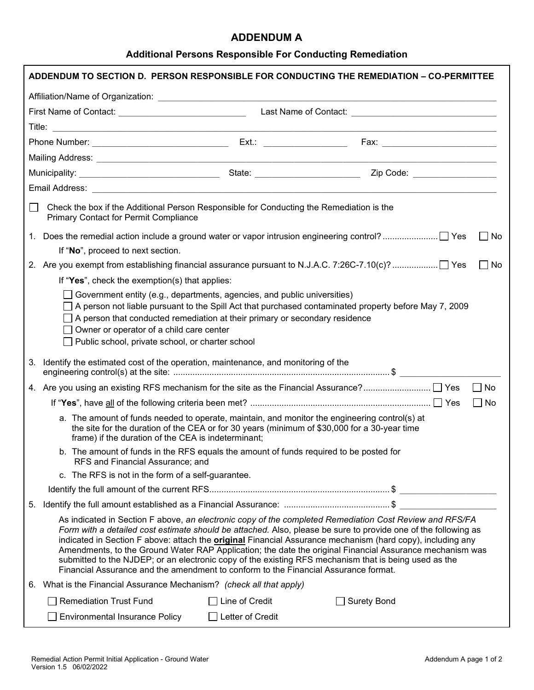### **ADDENDUM A**

## **Additional Persons Responsible For Conducting Remediation**

|        |                                                                                                                                                                                                                                                                                                                                                |                       | ADDENDUM TO SECTION D. PERSON RESPONSIBLE FOR CONDUCTING THE REMEDIATION - CO-PERMITTEE                                                                                                                                                                                                                                                                                                                                                                                                                                                                      |                  |
|--------|------------------------------------------------------------------------------------------------------------------------------------------------------------------------------------------------------------------------------------------------------------------------------------------------------------------------------------------------|-----------------------|--------------------------------------------------------------------------------------------------------------------------------------------------------------------------------------------------------------------------------------------------------------------------------------------------------------------------------------------------------------------------------------------------------------------------------------------------------------------------------------------------------------------------------------------------------------|------------------|
|        |                                                                                                                                                                                                                                                                                                                                                |                       |                                                                                                                                                                                                                                                                                                                                                                                                                                                                                                                                                              |                  |
|        |                                                                                                                                                                                                                                                                                                                                                |                       |                                                                                                                                                                                                                                                                                                                                                                                                                                                                                                                                                              |                  |
|        |                                                                                                                                                                                                                                                                                                                                                |                       |                                                                                                                                                                                                                                                                                                                                                                                                                                                                                                                                                              |                  |
|        |                                                                                                                                                                                                                                                                                                                                                |                       |                                                                                                                                                                                                                                                                                                                                                                                                                                                                                                                                                              |                  |
|        |                                                                                                                                                                                                                                                                                                                                                |                       |                                                                                                                                                                                                                                                                                                                                                                                                                                                                                                                                                              |                  |
|        |                                                                                                                                                                                                                                                                                                                                                |                       |                                                                                                                                                                                                                                                                                                                                                                                                                                                                                                                                                              |                  |
|        |                                                                                                                                                                                                                                                                                                                                                |                       |                                                                                                                                                                                                                                                                                                                                                                                                                                                                                                                                                              |                  |
| $\Box$ | Check the box if the Additional Person Responsible for Conducting the Remediation is the<br><b>Primary Contact for Permit Compliance</b>                                                                                                                                                                                                       |                       |                                                                                                                                                                                                                                                                                                                                                                                                                                                                                                                                                              |                  |
|        |                                                                                                                                                                                                                                                                                                                                                |                       |                                                                                                                                                                                                                                                                                                                                                                                                                                                                                                                                                              | $\vert \vert$ No |
|        | If "No", proceed to next section.                                                                                                                                                                                                                                                                                                              |                       |                                                                                                                                                                                                                                                                                                                                                                                                                                                                                                                                                              |                  |
|        |                                                                                                                                                                                                                                                                                                                                                |                       |                                                                                                                                                                                                                                                                                                                                                                                                                                                                                                                                                              | l INo            |
|        | If "Yes", check the exemption(s) that applies:                                                                                                                                                                                                                                                                                                 |                       |                                                                                                                                                                                                                                                                                                                                                                                                                                                                                                                                                              |                  |
|        | $\Box$ Government entity (e.g., departments, agencies, and public universities)<br>$\Box$ A person that conducted remediation at their primary or secondary residence<br>Owner or operator of a child care center<br>Public school, private school, or charter school                                                                          |                       | $\Box$ A person not liable pursuant to the Spill Act that purchased contaminated property before May 7, 2009                                                                                                                                                                                                                                                                                                                                                                                                                                                 |                  |
| 3.     | Identify the estimated cost of the operation, maintenance, and monitoring of the                                                                                                                                                                                                                                                               |                       |                                                                                                                                                                                                                                                                                                                                                                                                                                                                                                                                                              |                  |
|        |                                                                                                                                                                                                                                                                                                                                                |                       |                                                                                                                                                                                                                                                                                                                                                                                                                                                                                                                                                              | $\Box$ No        |
|        |                                                                                                                                                                                                                                                                                                                                                |                       |                                                                                                                                                                                                                                                                                                                                                                                                                                                                                                                                                              | $\Box$ No        |
|        | a. The amount of funds needed to operate, maintain, and monitor the engineering control(s) at<br>the site for the duration of the CEA or for 30 years (minimum of \$30,000 for a 30-year time<br>frame) if the duration of the CEA is indeterminant;<br>b. The amount of funds in the RFS equals the amount of funds required to be posted for |                       |                                                                                                                                                                                                                                                                                                                                                                                                                                                                                                                                                              |                  |
|        | RFS and Financial Assurance; and                                                                                                                                                                                                                                                                                                               |                       |                                                                                                                                                                                                                                                                                                                                                                                                                                                                                                                                                              |                  |
|        | c. The RFS is not in the form of a self-guarantee.                                                                                                                                                                                                                                                                                             |                       |                                                                                                                                                                                                                                                                                                                                                                                                                                                                                                                                                              |                  |
|        |                                                                                                                                                                                                                                                                                                                                                |                       |                                                                                                                                                                                                                                                                                                                                                                                                                                                                                                                                                              |                  |
| 5.     |                                                                                                                                                                                                                                                                                                                                                |                       |                                                                                                                                                                                                                                                                                                                                                                                                                                                                                                                                                              |                  |
|        | Financial Assurance and the amendment to conform to the Financial Assurance format.                                                                                                                                                                                                                                                            |                       | As indicated in Section F above, an electronic copy of the completed Remediation Cost Review and RFS/FA<br>Form with a detailed cost estimate should be attached. Also, please be sure to provide one of the following as<br>indicated in Section F above: attach the original Financial Assurance mechanism (hard copy), including any<br>Amendments, to the Ground Water RAP Application; the date the original Financial Assurance mechanism was<br>submitted to the NJDEP; or an electronic copy of the existing RFS mechanism that is being used as the |                  |
|        | 6. What is the Financial Assurance Mechanism? (check all that apply)                                                                                                                                                                                                                                                                           |                       |                                                                                                                                                                                                                                                                                                                                                                                                                                                                                                                                                              |                  |
|        | Remediation Trust Fund                                                                                                                                                                                                                                                                                                                         | $\Box$ Line of Credit | <b>Surety Bond</b>                                                                                                                                                                                                                                                                                                                                                                                                                                                                                                                                           |                  |
|        | <b>Environmental Insurance Policy</b>                                                                                                                                                                                                                                                                                                          | Letter of Credit      |                                                                                                                                                                                                                                                                                                                                                                                                                                                                                                                                                              |                  |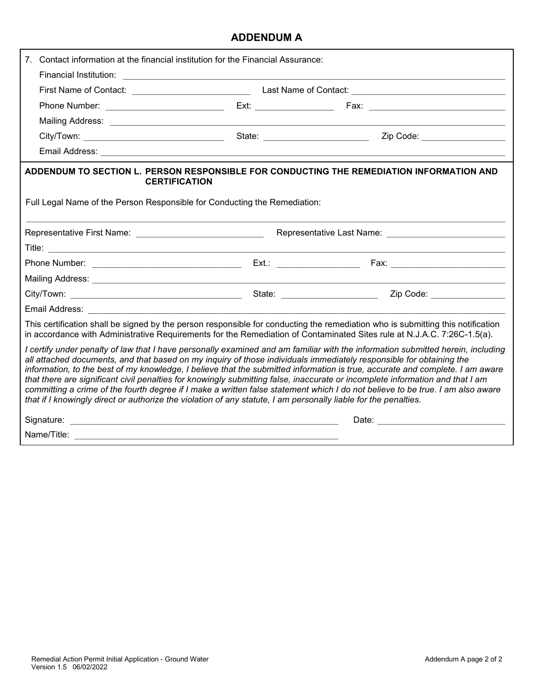## **ADDENDUM A**

| Contact information at the financial institution for the Financial Assurance:                                                                                                                                                                                                                                                                                           |                                                                                                                                                                                                                                                                                                                                                                                                    |
|-------------------------------------------------------------------------------------------------------------------------------------------------------------------------------------------------------------------------------------------------------------------------------------------------------------------------------------------------------------------------|----------------------------------------------------------------------------------------------------------------------------------------------------------------------------------------------------------------------------------------------------------------------------------------------------------------------------------------------------------------------------------------------------|
|                                                                                                                                                                                                                                                                                                                                                                         |                                                                                                                                                                                                                                                                                                                                                                                                    |
|                                                                                                                                                                                                                                                                                                                                                                         | First Name of Contact: Last Name of Contact: Last Name of Contact:                                                                                                                                                                                                                                                                                                                                 |
|                                                                                                                                                                                                                                                                                                                                                                         |                                                                                                                                                                                                                                                                                                                                                                                                    |
| Mailing Address: <u>Dentische Addressen and Addressen and Addressen and Addressen and Addressen and Addressen and Addressen and Addressen and Addressen and Addressen and Addressen and Addressen and Addressen and Addressen an</u>                                                                                                                                    |                                                                                                                                                                                                                                                                                                                                                                                                    |
|                                                                                                                                                                                                                                                                                                                                                                         |                                                                                                                                                                                                                                                                                                                                                                                                    |
|                                                                                                                                                                                                                                                                                                                                                                         |                                                                                                                                                                                                                                                                                                                                                                                                    |
| <b>CERTIFICATION</b><br>Full Legal Name of the Person Responsible for Conducting the Remediation:                                                                                                                                                                                                                                                                       | ADDENDUM TO SECTION L. PERSON RESPONSIBLE FOR CONDUCTING THE REMEDIATION INFORMATION AND                                                                                                                                                                                                                                                                                                           |
|                                                                                                                                                                                                                                                                                                                                                                         |                                                                                                                                                                                                                                                                                                                                                                                                    |
|                                                                                                                                                                                                                                                                                                                                                                         |                                                                                                                                                                                                                                                                                                                                                                                                    |
|                                                                                                                                                                                                                                                                                                                                                                         |                                                                                                                                                                                                                                                                                                                                                                                                    |
|                                                                                                                                                                                                                                                                                                                                                                         |                                                                                                                                                                                                                                                                                                                                                                                                    |
| Email Address: The Communication of the Communication of the Communication of the Communication of the Communication                                                                                                                                                                                                                                                    |                                                                                                                                                                                                                                                                                                                                                                                                    |
| in accordance with Administrative Requirements for the Remediation of Contaminated Sites rule at N.J.A.C. 7:26C-1.5(a).                                                                                                                                                                                                                                                 | This certification shall be signed by the person responsible for conducting the remediation who is submitting this notification                                                                                                                                                                                                                                                                    |
| all attached documents, and that based on my inquiry of those individuals immediately responsible for obtaining the<br>that there are significant civil penalties for knowingly submitting false, inaccurate or incomplete information and that I am<br>that if I knowingly direct or authorize the violation of any statute, I am personally liable for the penalties. | I certify under penalty of law that I have personally examined and am familiar with the information submitted herein, including<br>information, to the best of my knowledge, I believe that the submitted information is true, accurate and complete. I am aware<br>committing a crime of the fourth degree if I make a written false statement which I do not believe to be true. I am also aware |
|                                                                                                                                                                                                                                                                                                                                                                         |                                                                                                                                                                                                                                                                                                                                                                                                    |
|                                                                                                                                                                                                                                                                                                                                                                         |                                                                                                                                                                                                                                                                                                                                                                                                    |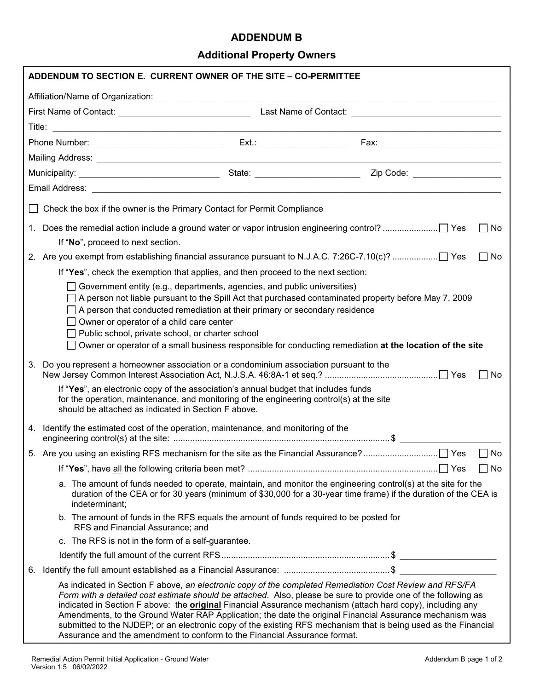### **ADDENDUM B**

## **Additional Property Owners**

|              | ADDENDUM TO SECTION E. CURRENT OWNER OF THE SITE - CO-PERMITTEE                                                                                                                                                                                                                                                                                                                                                                                                                               |                                                                                                                                                                                 |                                                                                                                                                                                                                                                                                                                                                                                                                                                            |                    |
|--------------|-----------------------------------------------------------------------------------------------------------------------------------------------------------------------------------------------------------------------------------------------------------------------------------------------------------------------------------------------------------------------------------------------------------------------------------------------------------------------------------------------|---------------------------------------------------------------------------------------------------------------------------------------------------------------------------------|------------------------------------------------------------------------------------------------------------------------------------------------------------------------------------------------------------------------------------------------------------------------------------------------------------------------------------------------------------------------------------------------------------------------------------------------------------|--------------------|
|              |                                                                                                                                                                                                                                                                                                                                                                                                                                                                                               |                                                                                                                                                                                 |                                                                                                                                                                                                                                                                                                                                                                                                                                                            |                    |
|              |                                                                                                                                                                                                                                                                                                                                                                                                                                                                                               |                                                                                                                                                                                 |                                                                                                                                                                                                                                                                                                                                                                                                                                                            |                    |
|              |                                                                                                                                                                                                                                                                                                                                                                                                                                                                                               |                                                                                                                                                                                 |                                                                                                                                                                                                                                                                                                                                                                                                                                                            |                    |
|              |                                                                                                                                                                                                                                                                                                                                                                                                                                                                                               |                                                                                                                                                                                 |                                                                                                                                                                                                                                                                                                                                                                                                                                                            |                    |
|              | Mailing Address: <u>Dental Address:</u> National Address: National Address: National Address: National Address: National Address: National Address: National Address: National Address: National Address: National Address: Nationa                                                                                                                                                                                                                                                           |                                                                                                                                                                                 |                                                                                                                                                                                                                                                                                                                                                                                                                                                            |                    |
|              |                                                                                                                                                                                                                                                                                                                                                                                                                                                                                               |                                                                                                                                                                                 |                                                                                                                                                                                                                                                                                                                                                                                                                                                            |                    |
|              |                                                                                                                                                                                                                                                                                                                                                                                                                                                                                               |                                                                                                                                                                                 |                                                                                                                                                                                                                                                                                                                                                                                                                                                            |                    |
| $\mathsf{L}$ |                                                                                                                                                                                                                                                                                                                                                                                                                                                                                               | Check the box if the owner is the Primary Contact for Permit Compliance                                                                                                         |                                                                                                                                                                                                                                                                                                                                                                                                                                                            |                    |
|              | If "No", proceed to next section.                                                                                                                                                                                                                                                                                                                                                                                                                                                             |                                                                                                                                                                                 |                                                                                                                                                                                                                                                                                                                                                                                                                                                            | ∐ No               |
|              |                                                                                                                                                                                                                                                                                                                                                                                                                                                                                               |                                                                                                                                                                                 | 2. Are you exempt from establishing financial assurance pursuant to N.J.A.C. 7:26C-7.10(c)? □ Yes                                                                                                                                                                                                                                                                                                                                                          | $\Box$ No          |
|              |                                                                                                                                                                                                                                                                                                                                                                                                                                                                                               | If "Yes", check the exemption that applies, and then proceed to the next section:                                                                                               |                                                                                                                                                                                                                                                                                                                                                                                                                                                            |                    |
|              | Government entity (e.g., departments, agencies, and public universities)<br>$\Box$ A person not liable pursuant to the Spill Act that purchased contaminated property before May 7, 2009<br>$\exists$ A person that conducted remediation at their primary or secondary residence<br>Owner or operator of a child care center<br>Public school, private school, or charter school<br>Owner or operator of a small business responsible for conducting remediation at the location of the site |                                                                                                                                                                                 |                                                                                                                                                                                                                                                                                                                                                                                                                                                            |                    |
| 3.           | Do you represent a homeowner association or a condominium association pursuant to the                                                                                                                                                                                                                                                                                                                                                                                                         |                                                                                                                                                                                 |                                                                                                                                                                                                                                                                                                                                                                                                                                                            | No<br>$\mathbf{1}$ |
|              | should be attached as indicated in Section F above.                                                                                                                                                                                                                                                                                                                                                                                                                                           | If "Yes", an electronic copy of the association's annual budget that includes funds<br>for the operation, maintenance, and monitoring of the engineering control(s) at the site |                                                                                                                                                                                                                                                                                                                                                                                                                                                            |                    |
|              | 4. Identify the estimated cost of the operation, maintenance, and monitoring of the                                                                                                                                                                                                                                                                                                                                                                                                           |                                                                                                                                                                                 |                                                                                                                                                                                                                                                                                                                                                                                                                                                            |                    |
|              |                                                                                                                                                                                                                                                                                                                                                                                                                                                                                               |                                                                                                                                                                                 |                                                                                                                                                                                                                                                                                                                                                                                                                                                            | No                 |
|              |                                                                                                                                                                                                                                                                                                                                                                                                                                                                                               |                                                                                                                                                                                 |                                                                                                                                                                                                                                                                                                                                                                                                                                                            | No                 |
|              | indeterminant;                                                                                                                                                                                                                                                                                                                                                                                                                                                                                |                                                                                                                                                                                 | a. The amount of funds needed to operate, maintain, and monitor the engineering control(s) at the site for the<br>duration of the CEA or for 30 years (minimum of \$30,000 for a 30-year time frame) if the duration of the CEA is                                                                                                                                                                                                                         |                    |
|              | RFS and Financial Assurance; and                                                                                                                                                                                                                                                                                                                                                                                                                                                              | b. The amount of funds in the RFS equals the amount of funds required to be posted for                                                                                          |                                                                                                                                                                                                                                                                                                                                                                                                                                                            |                    |
|              | c. The RFS is not in the form of a self-guarantee.                                                                                                                                                                                                                                                                                                                                                                                                                                            |                                                                                                                                                                                 |                                                                                                                                                                                                                                                                                                                                                                                                                                                            |                    |
|              |                                                                                                                                                                                                                                                                                                                                                                                                                                                                                               |                                                                                                                                                                                 |                                                                                                                                                                                                                                                                                                                                                                                                                                                            |                    |
| 6.           |                                                                                                                                                                                                                                                                                                                                                                                                                                                                                               |                                                                                                                                                                                 |                                                                                                                                                                                                                                                                                                                                                                                                                                                            |                    |
|              |                                                                                                                                                                                                                                                                                                                                                                                                                                                                                               |                                                                                                                                                                                 | As indicated in Section F above, an electronic copy of the completed Remediation Cost Review and RFS/FA<br>Form with a detailed cost estimate should be attached. Also, please be sure to provide one of the following as<br>indicated in Section F above: the <b>original</b> Financial Assurance mechanism (attach hard copy), including any<br>Amendments, to the Ground Water RAP Application; the date the original Financial Assurance mechanism was |                    |

submitted to the NJDEP; or an electronic copy of the existing RFS mechanism that is being used as the Financial

Assurance and the amendment to conform to the Financial Assurance format.